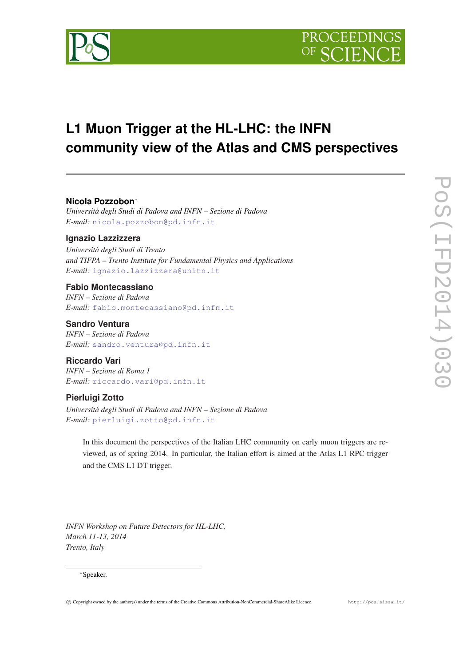

# **L1 Muon Trigger at the HL-LHC: the INFN community view of the Atlas and CMS perspectives**

## **Nicola Pozzobon**∗

*Università degli Studi di Padova and INFN – Sezione di Padova E-mail:* [nicola.pozzobon@pd.infn.it](mailto:nicola.pozzobon@pd.infn.it)

## **Ignazio Lazzizzera**

*Università degli Studi di Trento and TIFPA – Trento Institute for Fundamental Physics and Applications E-mail:* [ignazio.lazzizzera@unitn.it](mailto:ignazio.lazzizzera@unitn.it)

## **Fabio Montecassiano**

*INFN – Sezione di Padova E-mail:* [fabio.montecassiano@pd.infn.it](mailto:fabio.montecassiano@pd.infn.it)

#### **Sandro Ventura**

*INFN – Sezione di Padova E-mail:* [sandro.ventura@pd.infn.it](mailto:sandro.ventura@pd.infn.it)

### **Riccardo Vari**

*INFN – Sezione di Roma 1 E-mail:* [riccardo.vari@pd.infn.it](mailto:riccardo.vari@pd.infn.it)

#### **Pierluigi Zotto**

*Università degli Studi di Padova and INFN – Sezione di Padova E-mail:* [pierluigi.zotto@pd.infn.it](mailto:pierluigi.zotto@pd.infn.it)

In this document the perspectives of the Italian LHC community on early muon triggers are reviewed, as of spring 2014. In particular, the Italian effort is aimed at the Atlas L1 RPC trigger and the CMS L1 DT trigger.

*INFN Workshop on Future Detectors for HL-LHC, March 11-13, 2014 Trento, Italy*

#### ∗Speaker.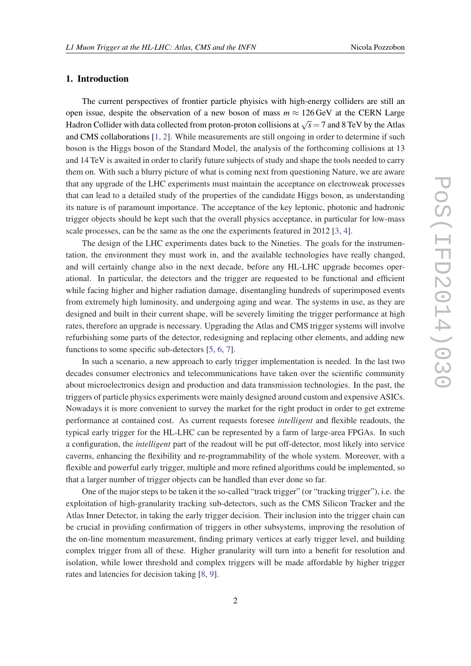## 1. Introduction

The current perspectives of frontier particle phyisics with high-energy colliders are still an open issue, despite the observation of a new boson of mass  $m \approx 126 \text{ GeV}$  at the CERN Large Hadron Collider with data collected from proton-proton collisions at  $\sqrt{s} = 7$  and 8 TeV by the Atlas and CMS collaborations [\[1,](#page-5-0) [2\]](#page-5-0). While measurements are still ongoing in order to determine if such boson is the Higgs boson of the Standard Model, the analysis of the forthcoming collisions at 13 and 14 TeV is awaited in order to clarify future subjects of study and shape the tools needed to carry them on. With such a blurry picture of what is coming next from questioning Nature, we are aware that any upgrade of the LHC experiments must maintain the acceptance on electroweak processes that can lead to a detailed study of the properties of the candidate Higgs boson, as understanding its nature is of paramount importance. The acceptance of the key leptonic, photonic and hadronic trigger objects should be kept such that the overall physics acceptance, in particular for low-mass scale processes, can be the same as the one the experiments featured in 2012 [\[3,](#page-5-0) [4\]](#page-5-0).

The design of the LHC experiments dates back to the Nineties. The goals for the instrumentation, the environment they must work in, and the available technologies have really changed, and will certainly change also in the next decade, before any HL-LHC upgrade becomes operational. In particular, the detectors and the trigger are requested to be functional and efficient while facing higher and higher radiation damage, disentangling hundreds of superimposed events from extremely high luminosity, and undergoing aging and wear. The systems in use, as they are designed and built in their current shape, will be severely limiting the trigger performance at high rates, therefore an upgrade is necessary. Upgrading the Atlas and CMS trigger systems will involve refurbishing some parts of the detector, redesigning and replacing other elements, and adding new functions to some specific sub-detectors [\[5,](#page-5-0) [6,](#page-5-0) [7](#page-6-0)].

In such a scenario, a new approach to early trigger implementation is needed. In the last two decades consumer electronics and telecommunications have taken over the scientific community about microelectronics design and production and data transmission technologies. In the past, the triggers of particle physics experiments were mainly designed around custom and expensive ASICs. Nowadays it is more convenient to survey the market for the right product in order to get extreme performance at contained cost. As current requests foresee *intelligent* and flexible readouts, the typical early trigger for the HL-LHC can be represented by a farm of large-area FPGAs. In such a configuration, the *intelligent* part of the readout will be put off-detector, most likely into service caverns, enhancing the flexibility and re-programmability of the whole system. Moreover, with a flexible and powerful early trigger, multiple and more refined algorithms could be implemented, so that a larger number of trigger objects can be handled than ever done so far.

One of the major steps to be taken it the so-called "track trigger" (or "tracking trigger"), i.e. the exploitation of high-granularity tracking sub-detectors, such as the CMS Silicon Tracker and the Atlas Inner Detector, in taking the early trigger decision. Their inclusion into the trigger chain can be crucial in providing confirmation of triggers in other subsystems, improving the resolution of the on-line momentum measurement, finding primary vertices at early trigger level, and building complex trigger from all of these. Higher granularity will turn into a benefit for resolution and isolation, while lower threshold and complex triggers will be made affordable by higher trigger rates and latencies for decision taking [\[8,](#page-6-0) [9\]](#page-6-0).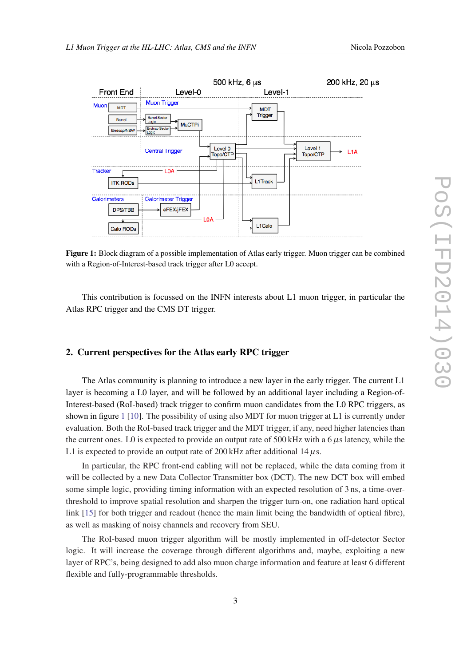



Figure 1: Block diagram of a possible implementation of Atlas early trigger. Muon trigger can be combined with a Region-of-Interest-based track trigger after L0 accept.

This contribution is focussed on the INFN interests about L1 muon trigger, in particular the Atlas RPC trigger and the CMS DT trigger.

#### 2. Current perspectives for the Atlas early RPC trigger

The Atlas community is planning to introduce a new layer in the early trigger. The current L1 layer is becoming a L0 layer, and will be followed by an additional layer including a Region-of-Interest-based (RoI-based) track trigger to confirm muon candidates from the L0 RPC triggers, as shown in figure 1 [\[10](#page-6-0)]. The possibility of using also MDT for muon trigger at L1 is currently under evaluation. Both the RoI-based track trigger and the MDT trigger, if any, need higher latencies than the current ones. L0 is expected to provide an output rate of 500 kHz with a 6  $\mu$ s latency, while the L1 is expected to provide an output rate of 200 kHz after additional 14  $\mu$ s.

In particular, the RPC front-end cabling will not be replaced, while the data coming from it will be collected by a new Data Collector Transmitter box (DCT). The new DCT box will embed some simple logic, providing timing information with an expected resolution of 3 ns, a time-overthreshold to improve spatial resolution and sharpen the trigger turn-on, one radiation hard optical link [\[15\]](#page-6-0) for both trigger and readout (hence the main limit being the bandwidth of optical fibre), as well as masking of noisy channels and recovery from SEU.

The RoI-based muon trigger algorithm will be mostly implemented in off-detector Sector logic. It will increase the coverage through different algorithms and, maybe, exploiting a new layer of RPC's, being designed to add also muon charge information and feature at least 6 different flexible and fully-programmable thresholds.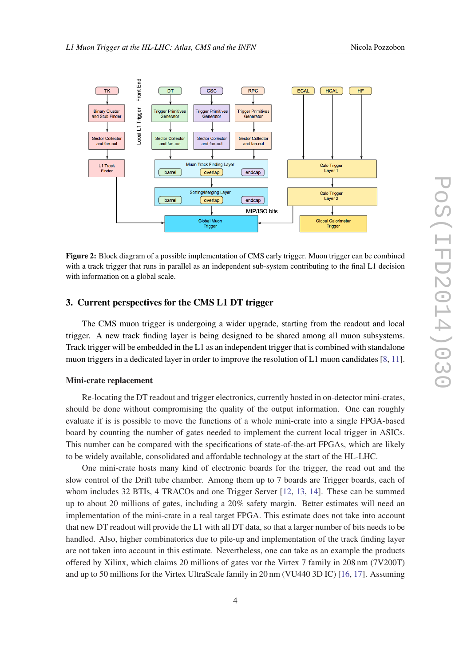



Figure 2: Block diagram of a possible implementation of CMS early trigger. Muon trigger can be combined with a track trigger that runs in parallel as an independent sub-system contributing to the final L1 decision with information on a global scale.

### 3. Current perspectives for the CMS L1 DT trigger

The CMS muon trigger is undergoing a wider upgrade, starting from the readout and local trigger. A new track finding layer is being designed to be shared among all muon subsystems. Track trigger will be embedded in the L1 as an independent trigger that is combined with standalone muon triggers in a dedicated layer in order to improve the resolution of L1 muon candidates [\[8,](#page-6-0) [11\]](#page-6-0).

#### Mini-crate replacement

Re-locating the DT readout and trigger electronics, currently hosted in on-detector mini-crates, should be done without compromising the quality of the output information. One can roughly evaluate if is is possible to move the functions of a whole mini-crate into a single FPGA-based board by counting the number of gates needed to implement the current local trigger in ASICs. This number can be compared with the specifications of state-of-the-art FPGAs, which are likely to be widely available, consolidated and affordable technology at the start of the HL-LHC.

One mini-crate hosts many kind of electronic boards for the trigger, the read out and the slow control of the Drift tube chamber. Among them up to 7 boards are Trigger boards, each of whom includes 32 BTIs, 4 TRACOs and one Trigger Server [\[12](#page-6-0), [13](#page-6-0), [14](#page-6-0)]. These can be summed up to about 20 millions of gates, including a 20% safety margin. Better estimates will need an implementation of the mini-crate in a real target FPGA. This estimate does not take into account that new DT readout will provide the L1 with all DT data, so that a larger number of bits needs to be handled. Also, higher combinatorics due to pile-up and implementation of the track finding layer are not taken into account in this estimate. Nevertheless, one can take as an example the products offered by Xilinx, which claims 20 millions of gates vor the Virtex 7 family in 208 nm (7V200T) and up to 50 millions for the Virtex UltraScale family in 20 nm (VU440 3D IC) [\[16](#page-6-0), [17](#page-6-0)]. Assuming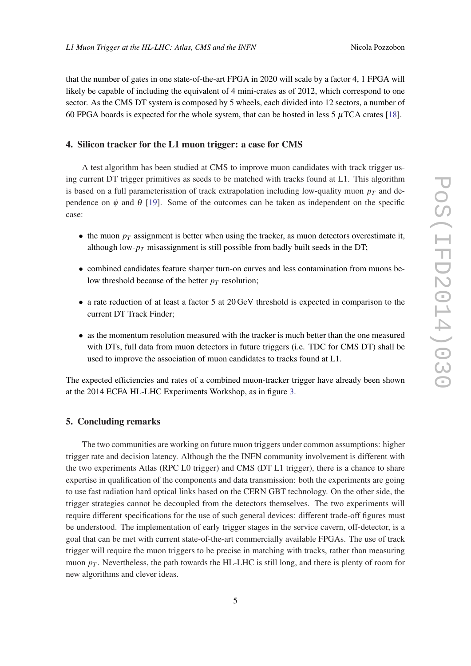that the number of gates in one state-of-the-art FPGA in 2020 will scale by a factor 4, 1 FPGA will likely be capable of including the equivalent of 4 mini-crates as of 2012, which correspond to one sector. As the CMS DT system is composed by 5 wheels, each divided into 12 sectors, a number of 60 FPGA boards is expected for the whole system, that can be hosted in less 5  $\mu$ TCA crates [[18\]](#page-6-0).

## 4. Silicon tracker for the L1 muon trigger: a case for CMS

A test algorithm has been studied at CMS to improve muon candidates with track trigger using current DT trigger primitives as seeds to be matched with tracks found at L1. This algorithm is based on a full parameterisation of track extrapolation including low-quality muon  $p_T$  and dependence on  $\phi$  and  $\theta$  [[19\]](#page-6-0). Some of the outcomes can be taken as independent on the specific case:

- $\bullet$  the muon  $p_T$  assignment is better when using the tracker, as muon detectors overestimate it, although low- $p_T$  misassignment is still possible from badly built seeds in the DT;
- combined candidates feature sharper turn-on curves and less contamination from muons below threshold because of the better *p<sup>T</sup>* resolution;
- a rate reduction of at least a factor 5 at 20 GeV threshold is expected in comparison to the current DT Track Finder;
- as the momentum resolution measured with the tracker is much better than the one measured with DTs, full data from muon detectors in future triggers (i.e. TDC for CMS DT) shall be used to improve the association of muon candidates to tracks found at L1.

The expected efficiencies and rates of a combined muon-tracker trigger have already been shown at the 2014 ECFA HL-LHC Experiments Workshop, as in figure [3.](#page-5-0)

#### 5. Concluding remarks

The two communities are working on future muon triggers under common assumptions: higher trigger rate and decision latency. Although the the INFN community involvement is different with the two experiments Atlas (RPC L0 trigger) and CMS (DT L1 trigger), there is a chance to share expertise in qualification of the components and data transmission: both the experiments are going to use fast radiation hard optical links based on the CERN GBT technology. On the other side, the trigger strategies cannot be decoupled from the detectors themselves. The two experiments will require different specifications for the use of such general devices: different trade-off figures must be understood. The implementation of early trigger stages in the service cavern, off-detector, is a goal that can be met with current state-of-the-art commercially available FPGAs. The use of track trigger will require the muon triggers to be precise in matching with tracks, rather than measuring muon  $p_T$ . Nevertheless, the path towards the HL-LHC is still long, and there is plenty of room for new algorithms and clever ideas.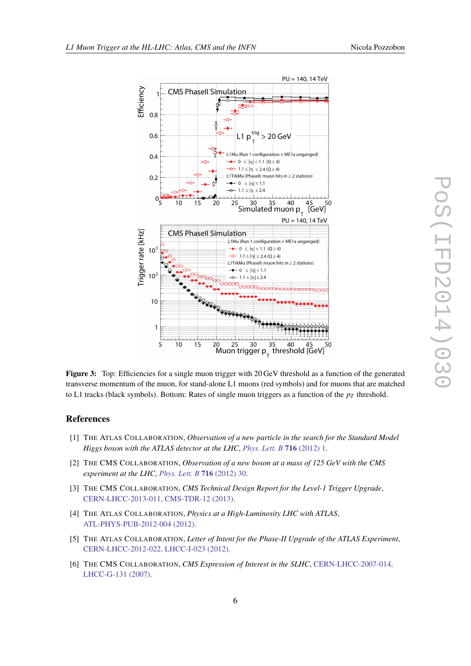<span id="page-5-0"></span>

 $F_{\text{eff}}$  figure 6.4: Topics for a single muon trigger with 20 GeV threshold as a function of  $\alpha$ Figure 3: Top: Efficiencies for a single muon trigger with 20 GeV threshold as a function of the generated transverse momentum of the muon, for stand-alone L1 muons (red symbols) and for muons that are matched shown. Bottom: Rates of single muon triggers as a function of the *p*<sup>T</sup> threshold. For triggers to L1 tracks (black symbols). Bottom: Rates of single muon triggers as a function of the  $p_T$  threshold.

## References

- [1] THE ATLAS COLLABORATION, *Observation of a new particle in the search for the Standard Model Higgs boson with the ATLAS detector at the LHC*, *[Phys. Lett. B](http://dx.doi.org/10.1016/j.physletb.2012.08.020)* 716 (2012) 1.
- [2] THE CMS COLLABORATION, *Observation of a new boson at a mass of 125 GeV with the CMS experiment at the LHC*, *[Phys. Lett. B](http://dx.doi.org/10.1016/j.physletb.2012.08.021)* 716 (2012) 30.
- [3] THE CMS COLLABORATION, *CMS Technical Design Report for the Level-1 Trigger Upgrade*, [CERN-LHCC-2013-011, CMS-TDR-12 \(2013\).](https://cds.cern.ch/record/1556311)
- [4] THE ATLAS COLLABORATION, *Physics at a High-Luminosity LHC with ATLAS*, [ATL-PHYS-PUB-2012-004 \(2012\).](https://cdsweb.cern.ch/record/1484890)
- [5] THE ATLAS COLLABORATION, *Letter of Intent for the Phase-II Upgrade of the ATLAS Experiment*, [CERN-LHCC-2012-022, LHCC-I-023 \(2012\).](https://cdsweb.cern.ch/record/1502664)
- [6] THE CMS COLLABORATION, *CMS Expression of Interest in the SLHC*, [CERN-LHCC-2007-014,](https://cds.cern.ch/record/1020206) [LHCC-G-131 \(2007\).](https://cds.cern.ch/record/1020206)